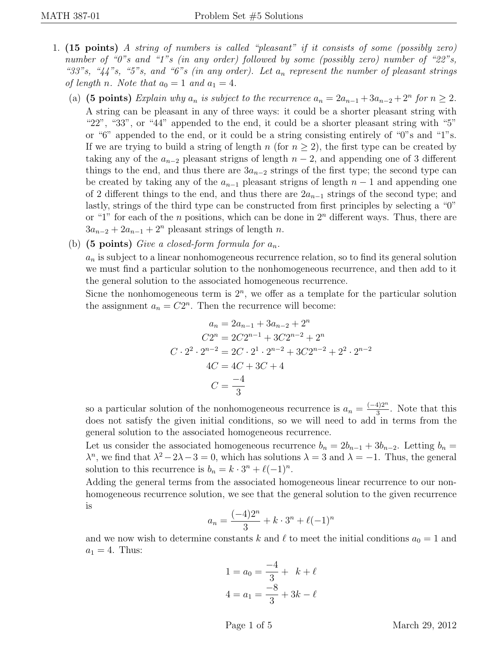- 1. (15 points) A string of numbers is called "pleasant" if it consists of some (possibly zero) number of "0"s and "1"s (in any order) followed by some (possibly zero) number of "22"s, "33"s, " $44$ "s, "5"s, and "6"s (in any order). Let  $a_n$  represent the number of pleasant strings of length n. Note that  $a_0 = 1$  and  $a_1 = 4$ .
	- (a) (5 points) Explain why  $a_n$  is subject to the recurrence  $a_n = 2a_{n-1} + 3a_{n-2} + 2^n$  for  $n \ge 2$ . A string can be pleasant in any of three ways: it could be a shorter pleasant string with "22", "33", or "44" appended to the end, it could be a shorter pleasant string with "5" or "6" appended to the end, or it could be a string consisting entirely of "0"s and "1"s. If we are trying to build a string of length n (for  $n \geq 2$ ), the first type can be created by taking any of the  $a_{n-2}$  pleasant strigns of length  $n-2$ , and appending one of 3 different things to the end, and thus there are  $3a_{n-2}$  strings of the first type; the second type can be created by taking any of the  $a_{n-1}$  pleasant strigns of length  $n-1$  and appending one of 2 different things to the end, and thus there are  $2a_{n-1}$  strings of the second type; and lastly, strings of the third type can be constructed from first principles by selecting a "0" or "1" for each of the n positions, which can be done in  $2<sup>n</sup>$  different ways. Thus, there are  $3a_{n-2} + 2a_{n-1} + 2^n$  pleasant strings of length n.
	- (b) (5 points) Give a closed-form formula for  $a_n$ .

 $a_n$  is subject to a linear nonhomogeneous recurrence relation, so to find its general solution we must find a particular solution to the nonhomogeneous recurrence, and then add to it the general solution to the associated homogeneous recurrence.

Sicne the nonhomogeneous term is  $2^n$ , we offer as a template for the particular solution the assignment  $a_n = C2^n$ . Then the recurrence will become:

$$
a_n = 2a_{n-1} + 3a_{n-2} + 2^n
$$
  
\n
$$
C2^n = 2C2^{n-1} + 3C2^{n-2} + 2^n
$$
  
\n
$$
C \cdot 2^2 \cdot 2^{n-2} = 2C \cdot 2^1 \cdot 2^{n-2} + 3C2^{n-2} + 2^2 \cdot 2^{n-2}
$$
  
\n
$$
4C = 4C + 3C + 4
$$
  
\n
$$
C = \frac{-4}{3}
$$

so a particular solution of the nonhomogeneous recurrence is  $a_n = \frac{(-4)2^n}{3}$  $\frac{4}{3}$ . Note that this does not satisfy the given initial conditions, so we will need to add in terms from the general solution to the associated homogeneous recurrence.

Let us consider the associated homogeneous recurrence  $b_n = 2b_{n-1} + 3b_{n-2}$ . Letting  $b_n =$  $\lambda^n$ , we find that  $\lambda^2 - 2\lambda - 3 = 0$ , which has solutions  $\lambda = 3$  and  $\lambda = -1$ . Thus, the general solution to this recurrence is  $b_n = k \cdot 3^n + \ell(-1)^n$ .

Adding the general terms from the associated homogeneous linear recurrence to our nonhomogeneous recurrence solution, we see that the general solution to the given recurrence is

$$
a_n = \frac{(-4)2^n}{3} + k \cdot 3^n + \ell(-1)^n
$$

and we now wish to determine constants k and  $\ell$  to meet the initial conditions  $a_0 = 1$  and  $a_1 = 4$ . Thus:

$$
1 = a_0 = \frac{-4}{3} + k + \ell
$$
  

$$
4 = a_1 = \frac{-8}{3} + 3k - \ell
$$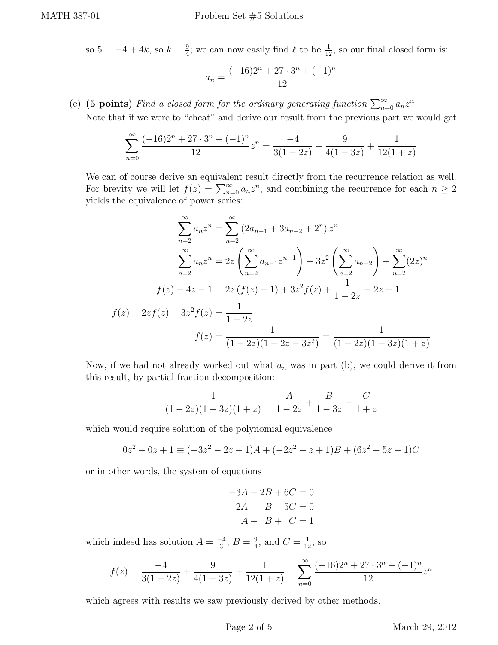so  $5 = -4 + 4k$ , so  $k = \frac{9}{4}$  $\frac{9}{4}$ ; we can now easily find  $\ell$  to be  $\frac{1}{12}$ , so our final closed form is:

$$
a_n = \frac{(-16)2^n + 27 \cdot 3^n + (-1)^n}{12}
$$

(c) (5 points) Find a closed form for the ordinary generating function  $\sum_{n=0}^{\infty} a_n z^n$ .

Note that if we were to "cheat" and derive our result from the previous part we would get

$$
\sum_{n=0}^{\infty} \frac{(-16)2^n + 27 \cdot 3^n + (-1)^n}{12} z^n = \frac{-4}{3(1-2z)} + \frac{9}{4(1-3z)} + \frac{1}{12(1+z)}
$$

We can of course derive an equivalent result directly from the recurrence relation as well. For brevity we will let  $f(z) = \sum_{n=0}^{\infty} a_n z^n$ , and combining the recurrence for each  $n \geq 2$ yields the equivalence of power series:

$$
\sum_{n=2}^{\infty} a_n z^n = \sum_{n=2}^{\infty} (2a_{n-1} + 3a_{n-2} + 2^n) z^n
$$

$$
\sum_{n=2}^{\infty} a_n z^n = 2z \left( \sum_{n=2}^{\infty} a_{n-1} z^{n-1} \right) + 3z^2 \left( \sum_{n=2}^{\infty} a_{n-2} \right) + \sum_{n=2}^{\infty} (2z)^n
$$

$$
f(z) - 4z - 1 = 2z \left( f(z) - 1 \right) + 3z^2 f(z) + \frac{1}{1 - 2z} - 2z - 1
$$

$$
f(z) - 2zf(z) - 3z^2 f(z) = \frac{1}{1 - 2z}
$$

$$
f(z) = \frac{1}{(1 - 2z)(1 - 2z - 3z^2)} = \frac{1}{(1 - 2z)(1 - 3z)(1 + z)}
$$

Now, if we had not already worked out what  $a_n$  was in part (b), we could derive it from this result, by partial-fraction decomposition:

$$
\frac{1}{(1-2z)(1-3z)(1+z)} = \frac{A}{1-2z} + \frac{B}{1-3z} + \frac{C}{1+z}
$$

which would require solution of the polynomial equivalence

$$
0z2 + 0z + 1 \equiv (-3z2 - 2z + 1)A + (-2z2 - z + 1)B + (6z2 - 5z + 1)C
$$

or in other words, the system of equations

$$
-3A - 2B + 6C = 0
$$

$$
-2A - B - 5C = 0
$$

$$
A + B + C = 1
$$

which indeed has solution  $A = \frac{-4}{3}$  $\frac{-4}{3}, B = \frac{9}{4}$  $\frac{9}{4}$ , and  $C = \frac{1}{12}$ , so

$$
f(z) = \frac{-4}{3(1-2z)} + \frac{9}{4(1-3z)} + \frac{1}{12(1+z)} = \sum_{n=0}^{\infty} \frac{(-16)2^n + 27 \cdot 3^n + (-1)^n}{12} z^n
$$

which agrees with results we saw previously derived by other methods.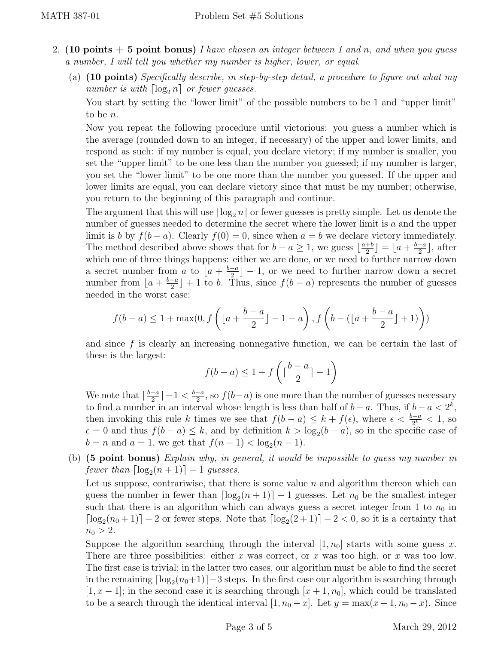- 2. (10 points  $+5$  point bonus) I have chosen an integer between 1 and n, and when you quess a number, I will tell you whether my number is higher, lower, or equal.
	- (a) (10 points) Specifically describe, in step-by-step detail, a procedure to figure out what my number is with  $\lceil \log_2 n \rceil$  or fewer guesses.

You start by setting the "lower limit" of the possible numbers to be 1 and "upper limit" to be n.

Now you repeat the following procedure until victorious: you guess a number which is the average (rounded down to an integer, if necessary) of the upper and lower limits, and respond as such: if my number is equal, you declare victory; if my number is smaller, you set the "upper limit" to be one less than the number you guessed; if my number is larger, you set the "lower limit" to be one more than the number you guessed. If the upper and lower limits are equal, you can declare victory since that must be my number; otherwise, you return to the beginning of this paragraph and continue.

The argument that this will use  $\lceil \log_2 n \rceil$  or fewer guesses is pretty simple. Let us denote the number of guesses needed to determine the secret where the lower limit is a and the upper limit is b by  $f(b-a)$ . Clearly  $f(0) = 0$ , since when  $a = b$  we declare victory immediately. The method described above shows that for  $b - a \geq 1$ , we guess  $\lfloor \frac{a+b}{2} \rfloor$  $\frac{+b}{2}$ ] =  $\left\lfloor a + \frac{b-a}{2} \right\rfloor$  $\frac{-a}{2}$ , after which one of three things happens: either we are done, or we need to further narrow down a secret number from a to  $a + \frac{b-a}{2}$  $\left\lfloor \frac{-a}{2} \right\rfloor - 1$ , or we need to further narrow down a secret number from  $a + \frac{b-a}{2}$  $\frac{-a}{2}$  + 1 to b. Thus, since  $f(b-a)$  represents the number of guesses needed in the worst case:

$$
f(b-a) \le 1 + \max(0, f\left(\lfloor a + \frac{b-a}{2} \rfloor - 1 - a\right), f\left(b - (\lfloor a + \frac{b-a}{2} \rfloor + 1)\right))
$$

and since  $f$  is clearly an increasing nonnegative function, we can be certain the last of these is the largest:

$$
f(b-a) \le 1 + f\left(\lceil \frac{b-a}{2} \rceil - 1\right)
$$

We note that  $\lceil \frac{b-a}{2} \rceil$  $\frac{-a}{2}$ ] – 1 <  $\frac{b-a}{2}$  $\frac{-a}{2}$ , so  $f(b-a)$  is one more than the number of guesses necessary to find a number in an interval whose length is less than half of  $b - a$ . Thus, if  $b - a < 2<sup>k</sup>$ , then invoking this rule k times we see that  $f(b-a) \leq k + f(\epsilon)$ , where  $\epsilon < \frac{b-a}{2^k} < 1$ , so  $\epsilon = 0$  and thus  $f(b - a) \leq k$ , and by definition  $k > \log_2(b - a)$ , so in the specific case of  $b = n$  and  $a = 1$ , we get that  $f(n - 1) < log_2(n - 1)$ .

(b) (5 point bonus) Explain why, in general, it would be impossible to guess my number in fewer than  $\lceil \log_2(n + 1) \rceil - 1$  guesses.

Let us suppose, contrariwise, that there is some value  $n$  and algorithm thereon which can guess the number in fewer than  $\lceil \log_2(n + 1) \rceil - 1$  guesses. Let  $n_0$  be the smallest integer such that there is an algorithm which can always guess a secret integer from 1 to  $n_0$  in  $\lceil \log_2(n_0+1) \rceil - 2$  or fewer steps. Note that  $\lceil \log_2(2+1) \rceil - 2 < 0$ , so it is a certainty that  $n_0 > 2$ .

Suppose the algorithm searching through the interval  $[1, n_0]$  starts with some guess x. There are three possibilities: either x was correct, or x was too high, or x was too low. The first case is trivial; in the latter two cases, our algorithm must be able to find the secret in the remaining  $\lceil \log_2(n_0+1) \rceil-3$  steps. In the first case our algorithm is searching through  $[1, x-1]$ ; in the second case it is searching through  $[x+1, n_0]$ , which could be translated to be a search through the identical interval  $[1, n_0 - x]$ . Let  $y = \max(x - 1, n_0 - x)$ . Since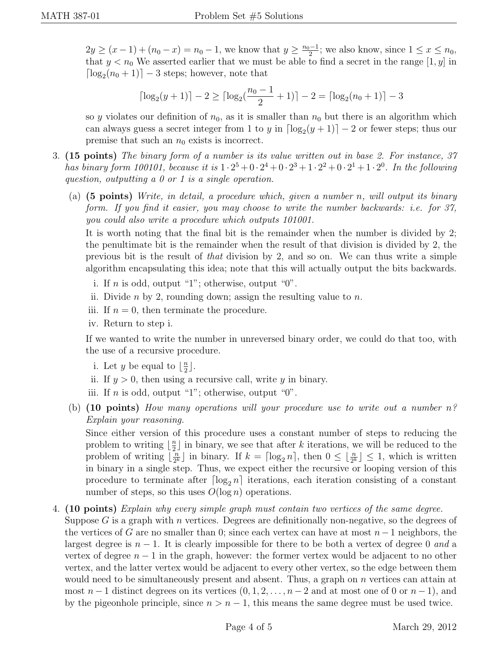$2y \ge (x-1) + (n_0 - x) = n_0 - 1$ , we know that  $y \ge \frac{n_0 - 1}{2}$  $\frac{1}{2}$ ; we also know, since  $1 \leq x \leq n_0$ , that  $y < n_0$  We asserted earlier that we must be able to find a secret in the range  $[1, y]$  in  $\lceil \log_2(n_0 + 1) \rceil - 3$  steps; however, note that

$$
\lceil \log_2(y+1) \rceil - 2 \ge \lceil \log_2(\frac{n_0-1}{2}+1) \rceil - 2 = \lceil \log_2(n_0+1) \rceil - 3
$$

so y violates our definition of  $n_0$ , as it is smaller than  $n_0$  but there is an algorithm which can always guess a secret integer from 1 to y in  $\lceil \log_2(y+1) \rceil - 2$  or fewer steps; thus our premise that such an  $n_0$  exists is incorrect.

- 3. (15 points) The binary form of a number is its value written out in base 2. For instance, 37 has binary form 100101, because it is  $1 \cdot 2^5 + 0 \cdot 2^4 + 0 \cdot 2^3 + 1 \cdot 2^2 + 0 \cdot 2^1 + 1 \cdot 2^0$ . In the following question, outputting a 0 or 1 is a single operation.
	- (a)  $(5 \text{ points})$  Write, in detail, a procedure which, given a number n, will output its binary form. If you find it easier, you may choose to write the number backwards: i.e. for 37, you could also write a procedure which outputs 101001.

It is worth noting that the final bit is the remainder when the number is divided by 2; the penultimate bit is the remainder when the result of that division is divided by 2, the previous bit is the result of that division by 2, and so on. We can thus write a simple algorithm encapsulating this idea; note that this will actually output the bits backwards.

- i. If  $n$  is odd, output "1"; otherwise, output "0".
- ii. Divide *n* by 2, rounding down; assign the resulting value to *n*.
- iii. If  $n = 0$ , then terminate the procedure.
- iv. Return to step i.

If we wanted to write the number in unreversed binary order, we could do that too, with the use of a recursive procedure.

- i. Let y be equal to  $\lfloor \frac{n}{2} \rfloor$  $\frac{n}{2}$ .
- ii. If  $y > 0$ , then using a recursive call, write y in binary.
- iii. If n is odd, output "1"; otherwise, output "0".
- (b)  $(10 \text{ points})$  How many operations will your procedure use to write out a number  $n^2$ Explain your reasoning.

Since either version of this procedure uses a constant number of steps to reducing the problem to writing  $\frac{n}{2}$  $\frac{n}{2}$  in binary, we see that after k iterations, we will be reduced to the problem of writing  $\begin{bmatrix} \frac{\bar{n}}{2} \\ 0 \end{bmatrix}$  $\left[\frac{n}{2^k}\right]$  in binary. If  $k = \lceil \log_2 n \rceil$ , then  $0 \leq \lfloor \frac{n}{2^k} \rfloor \leq 1$ , which is written in binary in a single step. Thus, we expect either the recursive or looping version of this procedure to terminate after  $\lceil \log_2 n \rceil$  iterations, each iteration consisting of a constant number of steps, so this uses  $O(\log n)$  operations.

## 4. (10 points) Explain why every simple graph must contain two vertices of the same degree.

Suppose  $G$  is a graph with n vertices. Degrees are definitionally non-negative, so the degrees of the vertices of G are no smaller than 0; since each vertex can have at most  $n-1$  neighbors, the largest degree is  $n-1$ . It is clearly impossible for there to be both a vertex of degree 0 and a vertex of degree  $n-1$  in the graph, however: the former vertex would be adjacent to no other vertex, and the latter vertex would be adjacent to every other vertex, so the edge between them would need to be simultaneously present and absent. Thus, a graph on  $n$  vertices can attain at most  $n-1$  distinct degrees on its vertices  $(0, 1, 2, \ldots, n-2$  and at most one of 0 or  $n-1$ ), and by the pigeonhole principle, since  $n > n - 1$ , this means the same degree must be used twice.